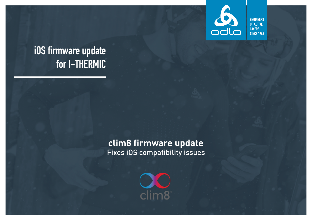

**ENGINEERS** OF ACTIVE **LAYERS SINCE 1946** 

# iOS firmware update for I-THERMIC

### **clim8 firmware update** Fixes iOS compatibility issues

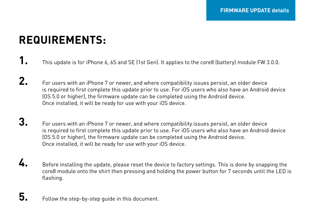# **REQUIREMENTS:**

- **1.** This update is for iPhone 6, 6S and SE (1st Gen). It applies to the core8 (battery) module FW 3.0.0.
- **2.** For users with an iPhone 7 or newer, and where compatibility issues persist, an older device is required to first complete this update prior to use. For iOS users who also have an Android device (OS 5.0 or higher), the firmware update can be completed using the Android device. Once installed, it will be ready for use with your iOS device.
- **3.** For users with an iPhone 7 or newer, and where compatibility issues persist, an older device is required to first complete this update prior to use. For iOS users who also have an Android device (OS 5.0 or higher), the firmware update can be completed using the Android device. Once installed, it will be ready for use with your iOS device.
- **4.** Before installing the update, please reset the device to factory settings. This is done by snapping the core8 module onto the shirt then pressing and holding the power button for 7 seconds until the LED is flashing.
- **5.** Follow the step-by-step guide in this document.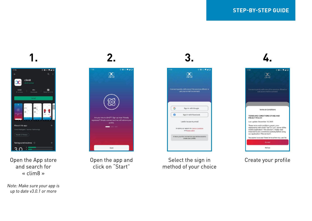



Open the App store and search for « clim8 »

*Note: Make sure your app is up to date v3.0.1 or more*



Open the app and click on "Start"

Select the sign in method of your choice



980940  $\infty$ one of quickly with one of the services offered of<br>successive and to connect. Terms & Conditions TERMS AND CONDITIONS OF USE AND **PRIVACY POLICY** Last update December 18, 2020 These terms and conditions govern your<br>relationship with clim3 ("we" or "us"), owner of the mobile application ('the service'). Reges read these terms and conditions carefully before using our application ("the service"). You agree to accept these terms when you use the Accept Rofuse

#### Create your profile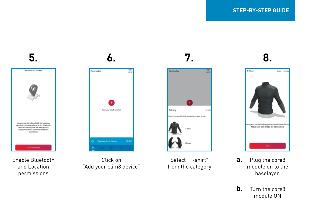

Enable Bluetooth and Location permissions



Click on "Add your clim8 device"



Select "T-shirt" from the category



- **a.** Plug the core8 module on to the baselayer.
- **b.** Turn the core8 module ON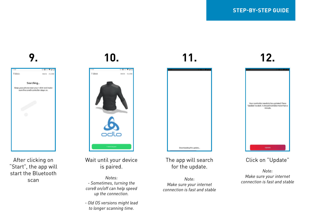**9.**



After clicking on "Start", the app will start the Bluetooth scan

## **10.**



Wait until your device is paired.

*Notes: - Sometimes, turning the core8 on/off can help speed up the connection.*

*- Old OS versions might lead to longer scanning time.*

### The app will search for the update.

Downloading the update.

**11.**

*Note: Make sure your internet connection is fast and stable*



**12.**

### Click on "Update"

*Note: Make sure your internet connection is fast and stable*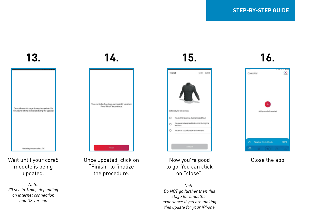## **13.**

| Do not leave this page during the update. De-<br>not power off the controller during the update! |  |
|--------------------------------------------------------------------------------------------------|--|
| Updating the controller 7%                                                                       |  |

Wait until your core8 module is being updated.

*Note: 30 sec to 1min, depending on internet connection and OS version* 

## **14.**



Once updated, click on "Finish" to finalize the procedure.

Now you're good to go. You can click on "close".

You did not exercise during the last hour You were not exposed to the cold during the<br>last hour

D Nouse in a comfortable environment

**15.**

MOX 0,000

T-Shirt

Get ready for cellbration:

 $\circ$ 

 $\circ$ 

*Note: Do NOT go further than this stage for smoother experience if you are making this update for your iPhone*

## **16.**



#### Close the app